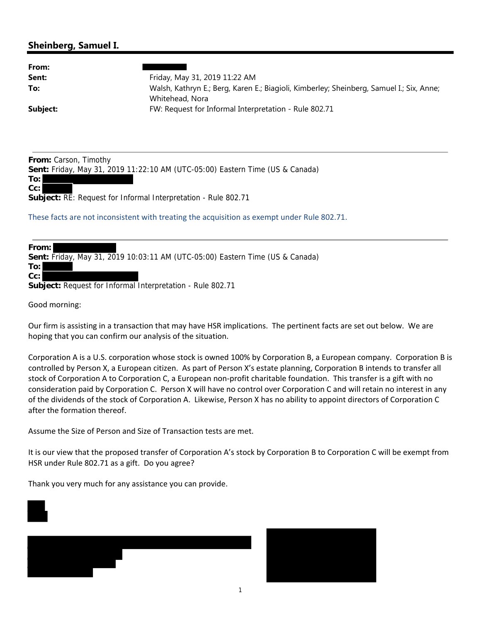## **Sheinberg, Samuel I.**

| From:    |                                                                                          |
|----------|------------------------------------------------------------------------------------------|
| Sent:    | Friday, May 31, 2019 11:22 AM                                                            |
| To:      | Walsh, Kathryn E.; Berg, Karen E.; Biagioli, Kimberley; Sheinberg, Samuel I.; Six, Anne; |
|          | Whitehead, Nora                                                                          |
| Subject: | FW: Request for Informal Interpretation - Rule 802.71                                    |

**From:** Carson, Timothy

**Sent:** Friday, May 31, 2019 11:22:10 AM (UTC-05:00) Eastern Time (US & Canada)

**To: Cc:**

**Subject:** RE: Request for Informal Interpretation - Rule 802.71

These facts are not inconsistent with treating the acquisition as exempt under Rule 802.71.

| From: l                                                                       |  |
|-------------------------------------------------------------------------------|--|
| Sent: Friday, May 31, 2019 10:03:11 AM (UTC-05:00) Eastern Time (US & Canada) |  |
| To: l                                                                         |  |
| $Cc$ : $ $                                                                    |  |
| <b>Subject:</b> Request for Informal Interpretation - Rule 802.71             |  |

Good morning:

Our firm is assisting in a transaction that may have HSR implications. The pertinent facts are set out below. We are hoping that you can confirm our analysis of the situation.

Corporation A is a U.S. corporation whose stock is owned 100% by Corporation B, a European company. Corporation B is controlled by Person X, a European citizen. As part of Person X's estate planning, Corporation B intends to transfer all stock of Corporation A to Corporation C, a European non‐profit charitable foundation. This transfer is a gift with no consideration paid by Corporation C. Person X will have no control over Corporation C and will retain no interest in any of the dividends of the stock of Corporation A. Likewise, Person X has no ability to appoint directors of Corporation C after the formation thereof.

Assume the Size of Person and Size of Transaction tests are met.

It is our view that the proposed transfer of Corporation A's stock by Corporation B to Corporation C will be exempt from HSR under Rule 802.71 as a gift. Do you agree?

Thank you very much for any assistance you can provide.